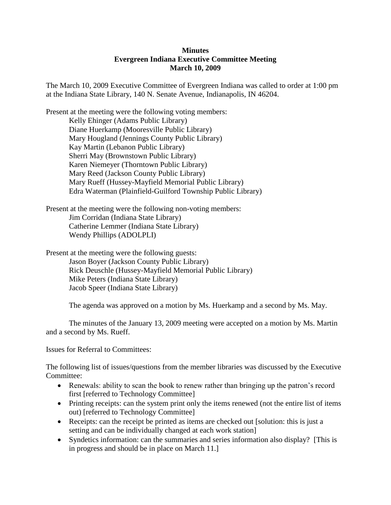## **Minutes Evergreen Indiana Executive Committee Meeting March 10, 2009**

The March 10, 2009 Executive Committee of Evergreen Indiana was called to order at 1:00 pm at the Indiana State Library, 140 N. Senate Avenue, Indianapolis, IN 46204.

Present at the meeting were the following voting members: Kelly Ehinger (Adams Public Library) Diane Huerkamp (Mooresville Public Library) Mary Hougland (Jennings County Public Library) Kay Martin (Lebanon Public Library) Sherri May (Brownstown Public Library) Karen Niemeyer (Thorntown Public Library) Mary Reed (Jackson County Public Library) Mary Rueff (Hussey-Mayfield Memorial Public Library) Edra Waterman (Plainfield-Guilford Township Public Library)

Present at the meeting were the following non-voting members: Jim Corridan (Indiana State Library) Catherine Lemmer (Indiana State Library) Wendy Phillips (ADOLPLI)

Present at the meeting were the following guests: Jason Boyer (Jackson County Public Library) Rick Deuschle (Hussey-Mayfield Memorial Public Library) Mike Peters (Indiana State Library) Jacob Speer (Indiana State Library)

The agenda was approved on a motion by Ms. Huerkamp and a second by Ms. May.

The minutes of the January 13, 2009 meeting were accepted on a motion by Ms. Martin and a second by Ms. Rueff.

Issues for Referral to Committees:

The following list of issues/questions from the member libraries was discussed by the Executive Committee:

- Renewals: ability to scan the book to renew rather than bringing up the patron's record first [referred to Technology Committee]
- Printing receipts: can the system print only the items renewed (not the entire list of items out) [referred to Technology Committee]
- Receipts: can the receipt be printed as items are checked out [solution: this is just a setting and can be individually changed at each work station]
- Syndetics information: can the summaries and series information also display? [This is in progress and should be in place on March 11.]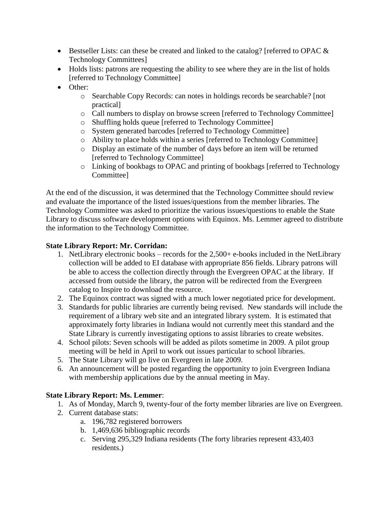- Bestseller Lists: can these be created and linked to the catalog? [referred to OPAC & Technology Committees]
- Holds lists: patrons are requesting the ability to see where they are in the list of holds [referred to Technology Committee]
- Other:
	- o Searchable Copy Records: can notes in holdings records be searchable? [not practical]
	- o Call numbers to display on browse screen [referred to Technology Committee]
	- o Shuffling holds queue [referred to Technology Committee]
	- o System generated barcodes [referred to Technology Committee]
	- o Ability to place holds within a series [referred to Technology Committee]
	- o Display an estimate of the number of days before an item will be returned [referred to Technology Committee]
	- o Linking of bookbags to OPAC and printing of bookbags [referred to Technology Committee]

At the end of the discussion, it was determined that the Technology Committee should review and evaluate the importance of the listed issues/questions from the member libraries. The Technology Committee was asked to prioritize the various issues/questions to enable the State Library to discuss software development options with Equinox. Ms. Lemmer agreed to distribute the information to the Technology Committee.

## **State Library Report: Mr. Corridan:**

- 1. NetLibrary electronic books records for the 2,500+ e-books included in the NetLibrary collection will be added to EI database with appropriate 856 fields. Library patrons will be able to access the collection directly through the Evergreen OPAC at the library. If accessed from outside the library, the patron will be redirected from the Evergreen catalog to Inspire to download the resource.
- 2. The Equinox contract was signed with a much lower negotiated price for development.
- 3. Standards for public libraries are currently being revised. New standards will include the requirement of a library web site and an integrated library system. It is estimated that approximately forty libraries in Indiana would not currently meet this standard and the State Library is currently investigating options to assist libraries to create websites.
- 4. School pilots: Seven schools will be added as pilots sometime in 2009. A pilot group meeting will be held in April to work out issues particular to school libraries.
- 5. The State Library will go live on Evergreen in late 2009.
- 6. An announcement will be posted regarding the opportunity to join Evergreen Indiana with membership applications due by the annual meeting in May.

## **State Library Report: Ms. Lemmer**:

- 1. As of Monday, March 9, twenty-four of the forty member libraries are live on Evergreen.
- 2. Current database stats:
	- a. 196,782 registered borrowers
	- b. 1,469,636 bibliographic records
	- c. Serving 295,329 Indiana residents (The forty libraries represent 433,403 residents.)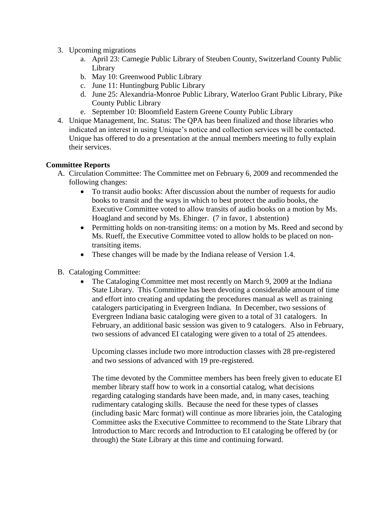- 3. Upcoming migrations
	- a. April 23: Carnegie Public Library of Steuben County, Switzerland County Public Library
	- b. May 10: Greenwood Public Library
	- c. June 11: Huntingburg Public Library
	- d. June 25: Alexandria-Monroe Public Library, Waterloo Grant Public Library, Pike County Public Library
	- e. September 10: Bloomfield Eastern Greene County Public Library
- 4. Unique Management, Inc. Status: The QPA has been finalized and those libraries who indicated an interest in using Unique's notice and collection services will be contacted. Unique has offered to do a presentation at the annual members meeting to fully explain their services.

## **Committee Reports**

- A. Circulation Committee: The Committee met on February 6, 2009 and recommended the following changes:
	- To transit audio books: After discussion about the number of requests for audio books to transit and the ways in which to best protect the audio books, the Executive Committee voted to allow transits of audio books on a motion by Ms. Hoagland and second by Ms. Ehinger. (7 in favor, 1 abstention)
	- Permitting holds on non-transiting items: on a motion by Ms. Reed and second by Ms. Rueff, the Executive Committee voted to allow holds to be placed on nontransiting items.
	- These changes will be made by the Indiana release of Version 1.4.
- B. Cataloging Committee:
	- The Cataloging Committee met most recently on March 9, 2009 at the Indiana State Library. This Committee has been devoting a considerable amount of time and effort into creating and updating the procedures manual as well as training catalogers participating in Evergreen Indiana. In December, two sessions of Evergreen Indiana basic cataloging were given to a total of 31 catalogers. In February, an additional basic session was given to 9 catalogers. Also in February, two sessions of advanced EI cataloging were given to a total of 25 attendees.

Upcoming classes include two more introduction classes with 28 pre-registered and two sessions of advanced with 19 pre-registered.

The time devoted by the Committee members has been freely given to educate EI member library staff how to work in a consortial catalog, what decisions regarding cataloging standards have been made, and, in many cases, teaching rudimentary cataloging skills. Because the need for these types of classes (including basic Marc format) will continue as more libraries join, the Cataloging Committee asks the Executive Committee to recommend to the State Library that Introduction to Marc records and Introduction to EI cataloging be offered by (or through) the State Library at this time and continuing forward.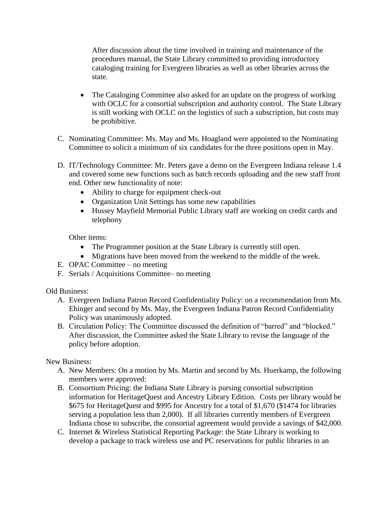After discussion about the time involved in training and maintenance of the procedures manual, the State Library committed to providing introductory cataloging training for Evergreen libraries as well as other libraries across the state.

- The Cataloging Committee also asked for an update on the progress of working with OCLC for a consortial subscription and authority control. The State Library is still working with OCLC on the logistics of such a subscription, but costs may be prohibitive.
- C. Nominating Committee: Ms. May and Ms. Hoagland were appointed to the Nominating Committee to solicit a minimum of six candidates for the three positions open in May.
- D. IT/Technology Committee: Mr. Peters gave a demo on the Evergreen Indiana release 1.4 and covered some new functions such as batch records uploading and the new staff front end. Other new functionality of note:
	- Ability to charge for equipment check-out
	- Organization Unit Settings has some new capabilities
	- Hussey Mayfield Memorial Public Library staff are working on credit cards and telephony

Other items:

- The Programmer position at the State Library is currently still open.
- Migrations have been moved from the weekend to the middle of the week.
- E. OPAC Committee no meeting
- F. Serials / Acquisitions Committee– no meeting

Old Business:

- A. Evergreen Indiana Patron Record Confidentiality Policy: on a recommendation from Ms. Ehinger and second by Ms. May, the Evergreen Indiana Patron Record Confidentiality Policy was unanimously adopted.
- B. Circulation Policy: The Committee discussed the definition of "barred" and "blocked." After discussion, the Committee asked the State Library to revise the language of the policy before adoption.

New Business:

- A. New Members: On a motion by Ms. Martin and second by Ms. Huerkamp, the following members were approved:
- B. Consortium Pricing: the Indiana State Library is pursing consortial subscription information for HeritageQuest and Ancestry Library Edition. Costs per library would be \$675 for HeritageQuest and \$995 for Ancestry for a total of \$1,670 (\$1474 for libraries serving a population less than 2,000). If all libraries currently members of Evergreen Indiana chose to subscribe, the consortial agreement would provide a savings of \$42,000.
- C. Internet & Wireless Statistical Reporting Package: the State Library is working to develop a package to track wireless use and PC reservations for public libraries in an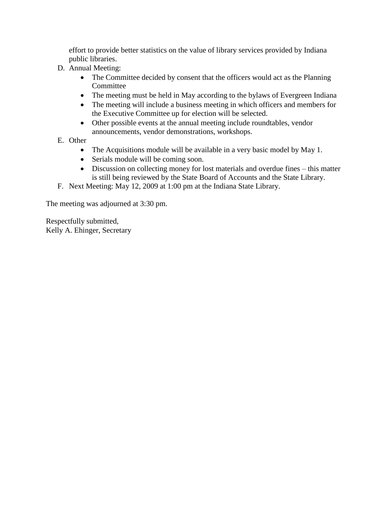effort to provide better statistics on the value of library services provided by Indiana public libraries.

- D. Annual Meeting:
	- The Committee decided by consent that the officers would act as the Planning Committee
	- The meeting must be held in May according to the bylaws of Evergreen Indiana
	- The meeting will include a business meeting in which officers and members for the Executive Committee up for election will be selected.
	- Other possible events at the annual meeting include roundtables, vendor announcements, vendor demonstrations, workshops.
- E. Other
	- The Acquisitions module will be available in a very basic model by May 1.
	- Serials module will be coming soon.
	- Discussion on collecting money for lost materials and overdue fines this matter is still being reviewed by the State Board of Accounts and the State Library.
- F. Next Meeting: May 12, 2009 at 1:00 pm at the Indiana State Library.

The meeting was adjourned at 3:30 pm.

Respectfully submitted, Kelly A. Ehinger, Secretary